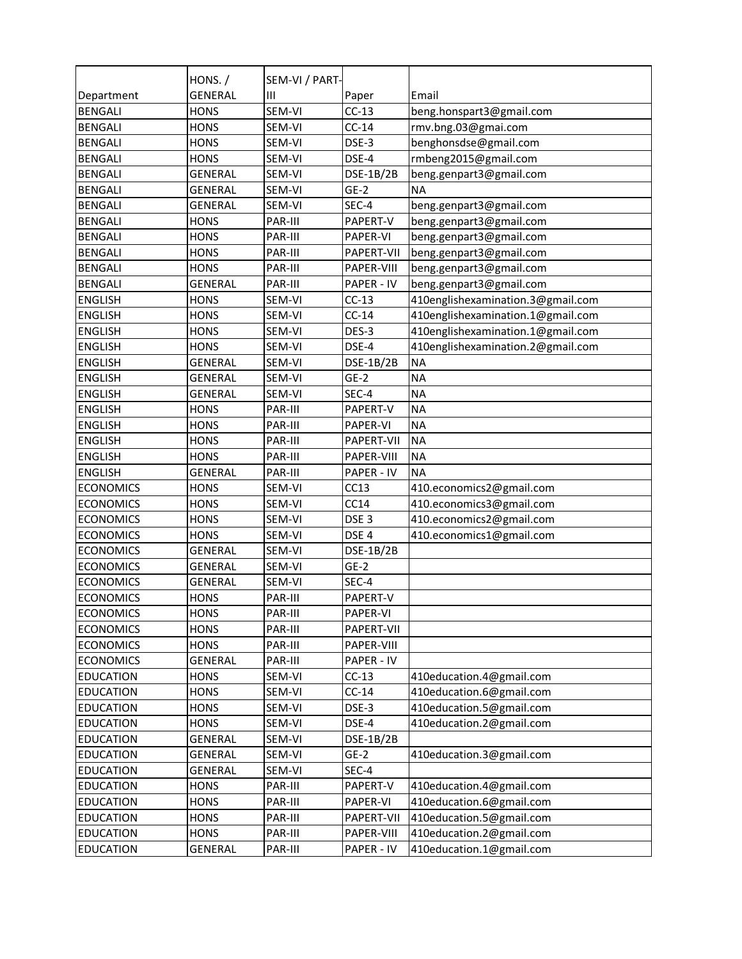|                  | HONS. /        | SEM-VI / PART- |                   |                                   |
|------------------|----------------|----------------|-------------------|-----------------------------------|
| Department       | <b>GENERAL</b> | Ш              | Paper             | Email                             |
| <b>BENGALI</b>   | <b>HONS</b>    | SEM-VI         | $CC-13$           | beng.honspart3@gmail.com          |
| <b>BENGALI</b>   | <b>HONS</b>    | SEM-VI         | $CC-14$           | rmv.bng.03@gmai.com               |
| <b>BENGALI</b>   | <b>HONS</b>    | SEM-VI         | DSE-3             | benghonsdse@gmail.com             |
| <b>BENGALI</b>   | <b>HONS</b>    | SEM-VI         | DSE-4             | rmbeng2015@gmail.com              |
| <b>BENGALI</b>   | <b>GENERAL</b> | SEM-VI         | DSE-1B/2B         | beng.genpart3@gmail.com           |
| <b>BENGALI</b>   | <b>GENERAL</b> | SEM-VI         | $GE-2$            | <b>NA</b>                         |
| <b>BENGALI</b>   | GENERAL        | SEM-VI         | SEC-4             | beng.genpart3@gmail.com           |
| <b>BENGALI</b>   | <b>HONS</b>    | PAR-III        | PAPERT-V          | beng.genpart3@gmail.com           |
| <b>BENGALI</b>   | <b>HONS</b>    | PAR-III        | PAPER-VI          | beng.genpart3@gmail.com           |
| <b>BENGALI</b>   | <b>HONS</b>    | PAR-III        | PAPERT-VII        | beng.genpart3@gmail.com           |
| <b>BENGALI</b>   | <b>HONS</b>    | PAR-III        | PAPER-VIII        | beng.genpart3@gmail.com           |
| <b>BENGALI</b>   | <b>GENERAL</b> | PAR-III        | PAPER - IV        | beng.genpart3@gmail.com           |
| <b>ENGLISH</b>   | <b>HONS</b>    | SEM-VI         | $CC-13$           | 410englishexamination.3@gmail.com |
| <b>ENGLISH</b>   | <b>HONS</b>    | SEM-VI         | $CC-14$           | 410englishexamination.1@gmail.com |
| <b>ENGLISH</b>   | <b>HONS</b>    | SEM-VI         | DES-3             | 410englishexamination.1@gmail.com |
| <b>ENGLISH</b>   | <b>HONS</b>    | SEM-VI         | DSE-4             | 410englishexamination.2@gmail.com |
| <b>ENGLISH</b>   | <b>GENERAL</b> | SEM-VI         | DSE-1B/2B         | <b>NA</b>                         |
| <b>ENGLISH</b>   | <b>GENERAL</b> | SEM-VI         | $GE-2$            | <b>NA</b>                         |
| <b>ENGLISH</b>   | <b>GENERAL</b> | SEM-VI         | SEC-4             | <b>NA</b>                         |
| <b>ENGLISH</b>   | <b>HONS</b>    | PAR-III        | PAPERT-V          | <b>NA</b>                         |
| <b>ENGLISH</b>   | <b>HONS</b>    | PAR-III        | PAPER-VI          | <b>NA</b>                         |
| <b>ENGLISH</b>   | <b>HONS</b>    | PAR-III        | <b>PAPERT-VII</b> | <b>NA</b>                         |
| <b>ENGLISH</b>   | <b>HONS</b>    | PAR-III        | PAPER-VIII        | <b>NA</b>                         |
| <b>ENGLISH</b>   | <b>GENERAL</b> | PAR-III        | <b>PAPER - IV</b> | <b>NA</b>                         |
| <b>ECONOMICS</b> | <b>HONS</b>    | SEM-VI         | CC13              | 410.economics2@gmail.com          |
| <b>ECONOMICS</b> | <b>HONS</b>    | SEM-VI         | CC14              | 410.economics3@gmail.com          |
| <b>ECONOMICS</b> | <b>HONS</b>    | SEM-VI         | DSE <sub>3</sub>  | 410.economics2@gmail.com          |
| <b>ECONOMICS</b> | <b>HONS</b>    | SEM-VI         | DSE <sub>4</sub>  | 410.economics1@gmail.com          |
| <b>ECONOMICS</b> | <b>GENERAL</b> | SEM-VI         | DSE-1B/2B         |                                   |
| <b>ECONOMICS</b> | <b>GENERAL</b> | SEM-VI         | $GE-2$            |                                   |
| <b>ECONOMICS</b> | <b>GENERAL</b> | SEM-VI         | SEC-4             |                                   |
| <b>ECONOMICS</b> | <b>HONS</b>    | PAR-III        | PAPERT-V          |                                   |
| <b>ECONOMICS</b> | <b>HONS</b>    | PAR-III        | PAPER-VI          |                                   |
| <b>ECONOMICS</b> | <b>HONS</b>    | PAR-III        | PAPERT-VII        |                                   |
| <b>ECONOMICS</b> | <b>HONS</b>    | PAR-III        | PAPER-VIII        |                                   |
| <b>ECONOMICS</b> | GENERAL        | PAR-III        | PAPER - IV        |                                   |
| <b>EDUCATION</b> | <b>HONS</b>    | SEM-VI         | $CC-13$           | 410education.4@gmail.com          |
| <b>EDUCATION</b> | <b>HONS</b>    | SEM-VI         | $CC-14$           | 410education.6@gmail.com          |
| <b>EDUCATION</b> | <b>HONS</b>    | SEM-VI         | DSE-3             | 410education.5@gmail.com          |
| <b>EDUCATION</b> | <b>HONS</b>    | SEM-VI         | DSE-4             | 410education.2@gmail.com          |
| <b>EDUCATION</b> | GENERAL        | SEM-VI         | DSE-1B/2B         |                                   |
| <b>EDUCATION</b> | GENERAL        | SEM-VI         | $GE-2$            | 410education.3@gmail.com          |
| <b>EDUCATION</b> | GENERAL        | SEM-VI         | SEC-4             |                                   |
| <b>EDUCATION</b> | <b>HONS</b>    | PAR-III        | PAPERT-V          | 410education.4@gmail.com          |
| <b>EDUCATION</b> | <b>HONS</b>    | PAR-III        | PAPER-VI          | 410education.6@gmail.com          |
| <b>EDUCATION</b> | <b>HONS</b>    | PAR-III        | PAPERT-VII        | 410education.5@gmail.com          |
| <b>EDUCATION</b> | <b>HONS</b>    | PAR-III        | PAPER-VIII        | 410education.2@gmail.com          |
| <b>EDUCATION</b> | GENERAL        | PAR-III        | PAPER - IV        | 410education.1@gmail.com          |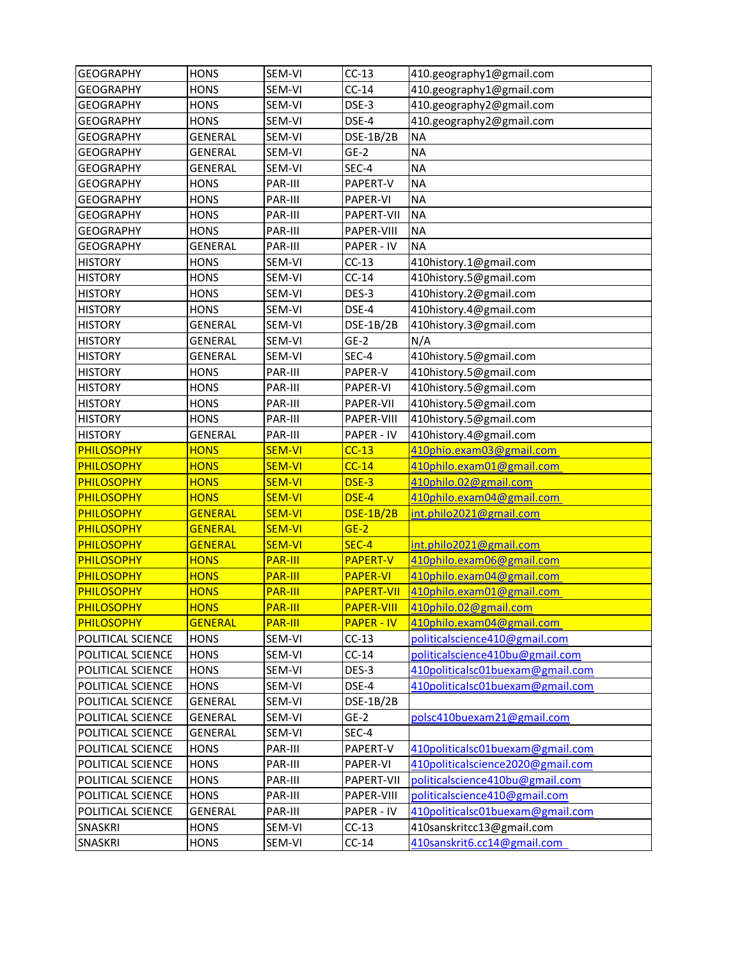| <b>GEOGRAPHY</b>  | <b>HONS</b>    | SEM-VI         | $CC-13$           | 410.geography1@gmail.com          |
|-------------------|----------------|----------------|-------------------|-----------------------------------|
| <b>GEOGRAPHY</b>  | <b>HONS</b>    | SEM-VI         | $CC-14$           | 410.geography1@gmail.com          |
| <b>GEOGRAPHY</b>  | <b>HONS</b>    | SEM-VI         | DSE-3             | 410.geography2@gmail.com          |
| <b>GEOGRAPHY</b>  | <b>HONS</b>    | SEM-VI         | DSE-4             | 410.geography2@gmail.com          |
| <b>GEOGRAPHY</b>  | <b>GENERAL</b> | SEM-VI         | <b>DSE-1B/2B</b>  | <b>NA</b>                         |
| <b>GEOGRAPHY</b>  | <b>GENERAL</b> | SEM-VI         | $GE-2$            | <b>NA</b>                         |
| <b>GEOGRAPHY</b>  | <b>GENERAL</b> | SEM-VI         | SEC-4             | <b>NA</b>                         |
| <b>GEOGRAPHY</b>  | <b>HONS</b>    | PAR-III        | PAPERT-V          | <b>NA</b>                         |
| <b>GEOGRAPHY</b>  | <b>HONS</b>    | PAR-III        | PAPER-VI          | <b>NA</b>                         |
| <b>GEOGRAPHY</b>  | <b>HONS</b>    | PAR-III        | PAPERT-VII        | <b>NA</b>                         |
| <b>GEOGRAPHY</b>  | <b>HONS</b>    | PAR-III        | PAPER-VIII        | <b>NA</b>                         |
| <b>GEOGRAPHY</b>  | <b>GENERAL</b> | PAR-III        | PAPER - IV        | <b>NA</b>                         |
| <b>HISTORY</b>    | <b>HONS</b>    | SEM-VI         | $CC-13$           | 410history.1@gmail.com            |
| <b>HISTORY</b>    | <b>HONS</b>    | SEM-VI         | $CC-14$           | 410history.5@gmail.com            |
| <b>HISTORY</b>    | <b>HONS</b>    | SEM-VI         | DES-3             | 410history.2@gmail.com            |
| <b>HISTORY</b>    | <b>HONS</b>    | SEM-VI         | DSE-4             | 410history.4@gmail.com            |
| <b>HISTORY</b>    | GENERAL        | SEM-VI         | <b>DSE-1B/2B</b>  | 410history.3@gmail.com            |
| <b>HISTORY</b>    | <b>GENERAL</b> | SEM-VI         | $GE-2$            | N/A                               |
| <b>HISTORY</b>    | <b>GENERAL</b> | SEM-VI         | SEC-4             | 410history.5@gmail.com            |
| <b>HISTORY</b>    | <b>HONS</b>    | PAR-III        | PAPER-V           | 410history.5@gmail.com            |
| <b>HISTORY</b>    | <b>HONS</b>    | PAR-III        | PAPER-VI          | 410history.5@gmail.com            |
| <b>HISTORY</b>    | <b>HONS</b>    | PAR-III        | PAPER-VII         | 410history.5@gmail.com            |
| <b>HISTORY</b>    | <b>HONS</b>    | PAR-III        | PAPER-VIII        | 410history.5@gmail.com            |
| <b>HISTORY</b>    | <b>GENERAL</b> | PAR-III        | PAPER - IV        | 410history.4@gmail.com            |
| <b>PHILOSOPHY</b> | <b>HONS</b>    | <b>SEM-VI</b>  | $CC-13$           | 410phio.exam03@gmail.com          |
| <b>PHILOSOPHY</b> | <b>HONS</b>    | <b>SEM-VI</b>  | $CC-14$           | 410philo.exam01@gmail.com         |
| <b>PHILOSOPHY</b> | <b>HONS</b>    | <b>SEM-VI</b>  | DSE-3             | 410philo.02@gmail.com             |
| <b>PHILOSOPHY</b> | <b>HONS</b>    | <b>SEM-VI</b>  | DSE-4             | 410philo.exam04@gmail.com         |
| PHILOSOPHY        | <b>GENERAL</b> | <b>SEM-VI</b>  | <b>DSE-1B/2B</b>  | int.philo2021@gmail.com           |
| PHILOSOPHY        | <b>GENERAL</b> | <b>SEM-VI</b>  | $GE-2$            |                                   |
| PHILOSOPHY        | <b>GENERAL</b> | <b>SEM-VI</b>  | SEC-4             | int.philo2021@gmail.com           |
| <b>PHILOSOPHY</b> | <b>HONS</b>    | <b>PAR-III</b> | <b>PAPERT-V</b>   | 410philo.exam06@gmail.com         |
| <b>PHILOSOPHY</b> | <b>HONS</b>    | <b>PAR-III</b> | <b>PAPER-VI</b>   | 410philo.exam04@gmail.com         |
| PHILOSOPHY        | <b>HONS</b>    | <b>PAR-III</b> | <b>PAPERT-VII</b> | 410philo.exam01@gmail.com         |
| <b>PHILOSOPHY</b> | <b>HONS</b>    | PAR-III        | <b>PAPER-VIII</b> | 410philo.02@gmail.com             |
| <b>PHILOSOPHY</b> | <b>GENERAL</b> | <b>PAR-III</b> | <b>PAPER - IV</b> | 410philo.exam04@gmail.com         |
| POLITICAL SCIENCE | <b>HONS</b>    | SEM-VI         | $CC-13$           | politicalscience410@gmail.com     |
| POLITICAL SCIENCE | <b>HONS</b>    | SEM-VI         | $CC-14$           | politicalscience410bu@gmail.com   |
| POLITICAL SCIENCE | <b>HONS</b>    | SEM-VI         | DES-3             | 410politicalsc01buexam@gmail.com  |
| POLITICAL SCIENCE | <b>HONS</b>    | SEM-VI         | DSE-4             | 410politicalsc01buexam@gmail.com  |
| POLITICAL SCIENCE | <b>GENERAL</b> | SEM-VI         | DSE-1B/2B         |                                   |
| POLITICAL SCIENCE | <b>GENERAL</b> | SEM-VI         | $GE-2$            | polsc410buexam21@gmail.com        |
| POLITICAL SCIENCE | <b>GENERAL</b> | SEM-VI         | SEC-4             |                                   |
| POLITICAL SCIENCE | <b>HONS</b>    | PAR-III        | PAPERT-V          | 410politicalsc01buexam@gmail.com  |
| POLITICAL SCIENCE | <b>HONS</b>    | PAR-III        | PAPER-VI          | 410politicalscience2020@gmail.com |
| POLITICAL SCIENCE | <b>HONS</b>    | PAR-III        | PAPERT-VII        | politicalscience410bu@gmail.com   |
| POLITICAL SCIENCE | <b>HONS</b>    | PAR-III        | PAPER-VIII        | politicalscience410@gmail.com     |
| POLITICAL SCIENCE | GENERAL        | PAR-III        | PAPER - IV        | 410politicalsc01buexam@gmail.com  |
| SNASKRI           | <b>HONS</b>    | SEM-VI         | $CC-13$           | 410sanskritcc13@gmail.com         |
| SNASKRI           | <b>HONS</b>    | SEM-VI         | $CC-14$           | 410sanskrit6.cc14@gmail.com       |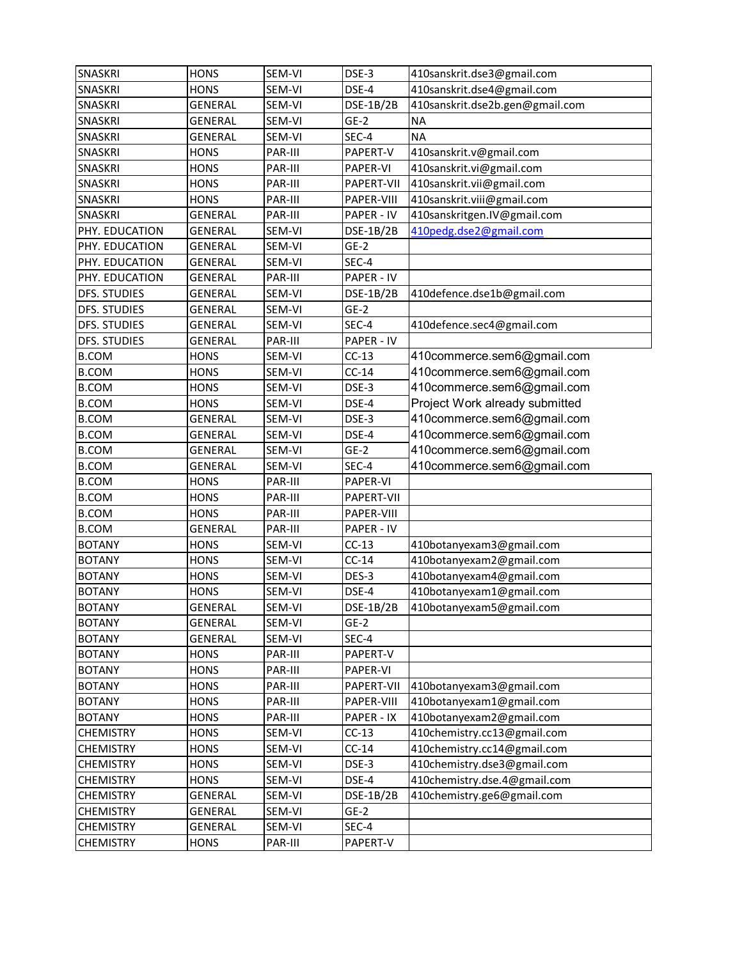| <b>SNASKRI</b>      | <b>HONS</b>    | SEM-VI  | DSE-3      | 410sanskrit.dse3@gmail.com      |
|---------------------|----------------|---------|------------|---------------------------------|
| <b>SNASKRI</b>      | <b>HONS</b>    | SEM-VI  | DSE-4      | 410sanskrit.dse4@gmail.com      |
| SNASKRI             | <b>GENERAL</b> | SEM-VI  | DSE-1B/2B  | 410sanskrit.dse2b.gen@gmail.com |
| SNASKRI             | GENERAL        | SEM-VI  | $GE-2$     | <b>NA</b>                       |
| SNASKRI             | <b>GENERAL</b> | SEM-VI  | SEC-4      | <b>NA</b>                       |
| SNASKRI             | <b>HONS</b>    | PAR-III | PAPERT-V   | 410sanskrit.v@gmail.com         |
| SNASKRI             | <b>HONS</b>    | PAR-III | PAPER-VI   | 410sanskrit.vi@gmail.com        |
| <b>SNASKRI</b>      | <b>HONS</b>    | PAR-III | PAPERT-VII | 410sanskrit.vii@gmail.com       |
| <b>SNASKRI</b>      | <b>HONS</b>    | PAR-III | PAPER-VIII | 410sanskrit.viii@gmail.com      |
| <b>SNASKRI</b>      | <b>GENERAL</b> | PAR-III | PAPER - IV | 410sanskritgen.IV@gmail.com     |
| PHY. EDUCATION      | <b>GENERAL</b> | SEM-VI  | DSE-1B/2B  | 410pedg.dse2@gmail.com          |
| PHY. EDUCATION      | GENERAL        | SEM-VI  | $GE-2$     |                                 |
| PHY. EDUCATION      | <b>GENERAL</b> | SEM-VI  | SEC-4      |                                 |
| PHY. EDUCATION      | <b>GENERAL</b> | PAR-III | PAPER - IV |                                 |
| <b>DFS. STUDIES</b> | <b>GENERAL</b> | SEM-VI  | DSE-1B/2B  | 410defence.dse1b@gmail.com      |
| DFS. STUDIES        | <b>GENERAL</b> | SEM-VI  | $GE-2$     |                                 |
| DFS. STUDIES        | GENERAL        | SEM-VI  | SEC-4      | 410defence.sec4@gmail.com       |
| DFS. STUDIES        | GENERAL        | PAR-III | PAPER - IV |                                 |
| <b>B.COM</b>        | <b>HONS</b>    | SEM-VI  | $CC-13$    | 410commerce.sem6@gmail.com      |
| <b>B.COM</b>        | <b>HONS</b>    | SEM-VI  | $CC-14$    | 410commerce.sem6@gmail.com      |
| <b>B.COM</b>        | <b>HONS</b>    | SEM-VI  | DSE-3      | 410commerce.sem6@gmail.com      |
| <b>B.COM</b>        | <b>HONS</b>    | SEM-VI  | DSE-4      | Project Work already submitted  |
| <b>B.COM</b>        | GENERAL        | SEM-VI  | DSE-3      | 410commerce.sem6@gmail.com      |
| <b>B.COM</b>        | <b>GENERAL</b> | SEM-VI  | DSE-4      | 410commerce.sem6@gmail.com      |
| <b>B.COM</b>        | GENERAL        | SEM-VI  | $GE-2$     | 410commerce.sem6@gmail.com      |
| <b>B.COM</b>        | <b>GENERAL</b> | SEM-VI  | SEC-4      | 410commerce.sem6@gmail.com      |
| <b>B.COM</b>        | <b>HONS</b>    | PAR-III | PAPER-VI   |                                 |
| <b>B.COM</b>        | <b>HONS</b>    | PAR-III | PAPERT-VII |                                 |
| <b>B.COM</b>        | <b>HONS</b>    | PAR-III | PAPER-VIII |                                 |
| <b>B.COM</b>        | <b>GENERAL</b> | PAR-III | PAPER - IV |                                 |
| <b>BOTANY</b>       | <b>HONS</b>    | SEM-VI  | $CC-13$    | 410botanyexam3@gmail.com        |
| <b>BOTANY</b>       | <b>HONS</b>    | SEM-VI  | $CC-14$    | 410botanyexam2@gmail.com        |
| <b>BOTANY</b>       | <b>HONS</b>    | SEM-VI  | DES-3      | 410botanyexam4@gmail.com        |
| <b>BOTANY</b>       | <b>HONS</b>    | SEM-VI  | DSE-4      | 410botanyexam1@gmail.com        |
| <b>BOTANY</b>       | GENERAL        | SEM-VI  | DSE-1B/2B  | 410botanyexam5@gmail.com        |
| <b>BOTANY</b>       | GENERAL        | SEM-VI  | $GE-2$     |                                 |
| <b>BOTANY</b>       | GENERAL        | SEM-VI  | SEC-4      |                                 |
| <b>BOTANY</b>       | <b>HONS</b>    | PAR-III | PAPERT-V   |                                 |
| <b>BOTANY</b>       | <b>HONS</b>    | PAR-III | PAPER-VI   |                                 |
| <b>BOTANY</b>       | <b>HONS</b>    | PAR-III | PAPERT-VII | 410botanyexam3@gmail.com        |
| <b>BOTANY</b>       | <b>HONS</b>    | PAR-III | PAPER-VIII | 410botanyexam1@gmail.com        |
| <b>BOTANY</b>       | <b>HONS</b>    | PAR-III | PAPER - IX | 410botanyexam2@gmail.com        |
| <b>CHEMISTRY</b>    | <b>HONS</b>    | SEM-VI  | $CC-13$    | 410chemistry.cc13@gmail.com     |
| <b>CHEMISTRY</b>    | <b>HONS</b>    | SEM-VI  | $CC-14$    | 410chemistry.cc14@gmail.com     |
| <b>CHEMISTRY</b>    | <b>HONS</b>    | SEM-VI  | DSE-3      | 410chemistry.dse3@gmail.com     |
| <b>CHEMISTRY</b>    | <b>HONS</b>    | SEM-VI  | DSE-4      | 410chemistry.dse.4@gmail.com    |
| <b>CHEMISTRY</b>    | GENERAL        | SEM-VI  | DSE-1B/2B  | 410chemistry.ge6@gmail.com      |
| <b>CHEMISTRY</b>    | <b>GENERAL</b> | SEM-VI  | $GE-2$     |                                 |
| <b>CHEMISTRY</b>    | GENERAL        | SEM-VI  | SEC-4      |                                 |
| <b>CHEMISTRY</b>    | <b>HONS</b>    | PAR-III | PAPERT-V   |                                 |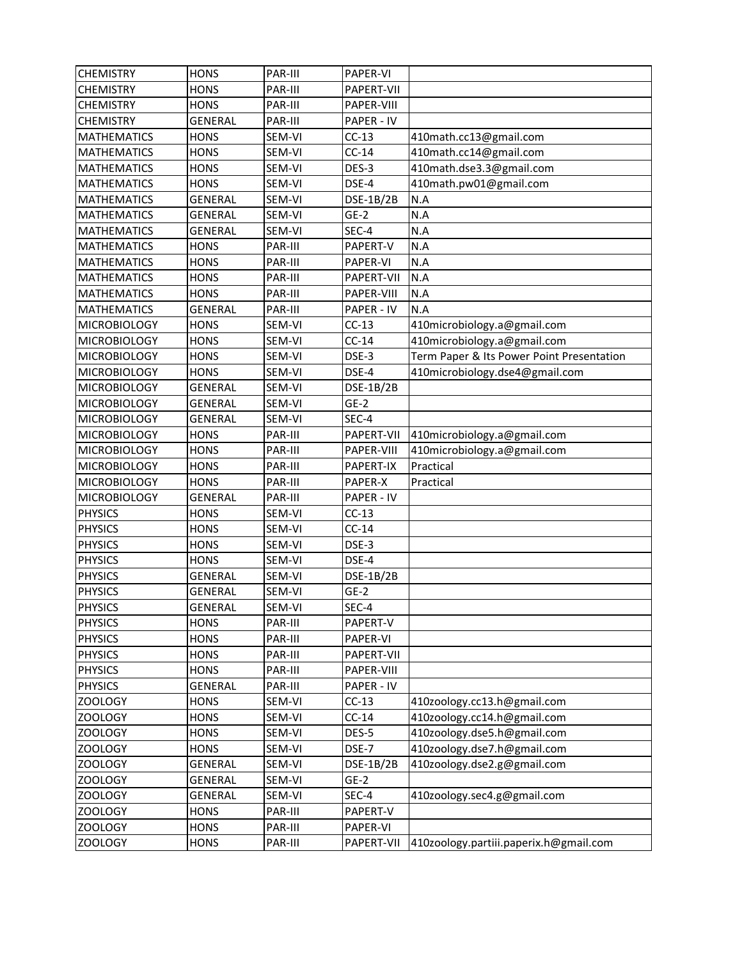| <b>CHEMISTRY</b>    | <b>HONS</b>    | PAR-III | PAPER-VI   |                                           |
|---------------------|----------------|---------|------------|-------------------------------------------|
| <b>CHEMISTRY</b>    | <b>HONS</b>    | PAR-III | PAPERT-VII |                                           |
| <b>CHEMISTRY</b>    | <b>HONS</b>    | PAR-III | PAPER-VIII |                                           |
| <b>CHEMISTRY</b>    | <b>GENERAL</b> | PAR-III | PAPER - IV |                                           |
| <b>MATHEMATICS</b>  | <b>HONS</b>    | SEM-VI  | $CC-13$    | 410math.cc13@gmail.com                    |
| <b>MATHEMATICS</b>  | <b>HONS</b>    | SEM-VI  | $CC-14$    | 410math.cc14@gmail.com                    |
| <b>MATHEMATICS</b>  | <b>HONS</b>    | SEM-VI  | DES-3      | 410math.dse3.3@gmail.com                  |
| <b>MATHEMATICS</b>  | <b>HONS</b>    | SEM-VI  | DSE-4      | 410math.pw01@gmail.com                    |
| <b>MATHEMATICS</b>  | <b>GENERAL</b> | SEM-VI  | DSE-1B/2B  | N.A                                       |
| <b>MATHEMATICS</b>  | <b>GENERAL</b> | SEM-VI  | $GE-2$     | N.A                                       |
| <b>MATHEMATICS</b>  | <b>GENERAL</b> | SEM-VI  | SEC-4      | N.A                                       |
| <b>MATHEMATICS</b>  | <b>HONS</b>    | PAR-III | PAPERT-V   | N.A                                       |
| <b>MATHEMATICS</b>  | <b>HONS</b>    | PAR-III | PAPER-VI   | N.A                                       |
| <b>MATHEMATICS</b>  | <b>HONS</b>    | PAR-III | PAPERT-VII | N.A                                       |
| <b>MATHEMATICS</b>  | <b>HONS</b>    | PAR-III | PAPER-VIII | N.A                                       |
| <b>MATHEMATICS</b>  | <b>GENERAL</b> | PAR-III | PAPER - IV | N.A                                       |
| <b>MICROBIOLOGY</b> | <b>HONS</b>    | SEM-VI  | $CC-13$    | 410microbiology.a@gmail.com               |
| <b>MICROBIOLOGY</b> | <b>HONS</b>    | SEM-VI  | $CC-14$    | 410microbiology.a@gmail.com               |
| <b>MICROBIOLOGY</b> | <b>HONS</b>    | SEM-VI  | DSE-3      | Term Paper & Its Power Point Presentation |
| <b>MICROBIOLOGY</b> | <b>HONS</b>    | SEM-VI  | DSE-4      | 410microbiology.dse4@gmail.com            |
| <b>MICROBIOLOGY</b> | <b>GENERAL</b> | SEM-VI  | DSE-1B/2B  |                                           |
| <b>MICROBIOLOGY</b> | <b>GENERAL</b> | SEM-VI  | $GE-2$     |                                           |
| <b>MICROBIOLOGY</b> | <b>GENERAL</b> | SEM-VI  | SEC-4      |                                           |
| <b>MICROBIOLOGY</b> | <b>HONS</b>    | PAR-III | PAPERT-VII | 410microbiology.a@gmail.com               |
| <b>MICROBIOLOGY</b> | <b>HONS</b>    | PAR-III | PAPER-VIII | 410microbiology.a@gmail.com               |
| <b>MICROBIOLOGY</b> | <b>HONS</b>    | PAR-III | PAPERT-IX  | Practical                                 |
| <b>MICROBIOLOGY</b> | <b>HONS</b>    | PAR-III | PAPER-X    | Practical                                 |
| <b>MICROBIOLOGY</b> | <b>GENERAL</b> | PAR-III | PAPER - IV |                                           |
| <b>PHYSICS</b>      | <b>HONS</b>    | SEM-VI  | $CC-13$    |                                           |
| <b>PHYSICS</b>      | <b>HONS</b>    | SEM-VI  | $CC-14$    |                                           |
| <b>PHYSICS</b>      | <b>HONS</b>    | SEM-VI  | DSE-3      |                                           |
| <b>PHYSICS</b>      | <b>HONS</b>    | SEM-VI  | DSE-4      |                                           |
| <b>PHYSICS</b>      | <b>GENERAL</b> | SEM-VI  | DSE-1B/2B  |                                           |
| <b>PHYSICS</b>      | GENERAL        | SEM-VI  | $GE-2$     |                                           |
| <b>PHYSICS</b>      | <b>GENERAL</b> | SEM-VI  | SEC-4      |                                           |
| <b>PHYSICS</b>      | <b>HONS</b>    | PAR-III | PAPERT-V   |                                           |
| <b>PHYSICS</b>      | <b>HONS</b>    | PAR-III | PAPER-VI   |                                           |
| <b>PHYSICS</b>      | <b>HONS</b>    | PAR-III | PAPERT-VII |                                           |
| <b>PHYSICS</b>      | <b>HONS</b>    | PAR-III | PAPER-VIII |                                           |
| <b>PHYSICS</b>      | <b>GENERAL</b> | PAR-III | PAPER - IV |                                           |
| <b>ZOOLOGY</b>      | <b>HONS</b>    | SEM-VI  | $CC-13$    | 410zoology.cc13.h@gmail.com               |
| <b>ZOOLOGY</b>      | <b>HONS</b>    | SEM-VI  | $CC-14$    | 410zoology.cc14.h@gmail.com               |
| ZOOLOGY             | <b>HONS</b>    | SEM-VI  | DES-5      | 410zoology.dse5.h@gmail.com               |
| <b>ZOOLOGY</b>      | <b>HONS</b>    | SEM-VI  | DSE-7      | 410zoology.dse7.h@gmail.com               |
| <b>ZOOLOGY</b>      | GENERAL        | SEM-VI  | DSE-1B/2B  | 410zoology.dse2.g@gmail.com               |
| ZOOLOGY             | GENERAL        | SEM-VI  | $GE-2$     |                                           |
| <b>ZOOLOGY</b>      | GENERAL        | SEM-VI  | SEC-4      | 410zoology.sec4.g@gmail.com               |
| <b>ZOOLOGY</b>      | <b>HONS</b>    | PAR-III | PAPERT-V   |                                           |
| ZOOLOGY             | <b>HONS</b>    | PAR-III | PAPER-VI   |                                           |
| ZOOLOGY             | <b>HONS</b>    | PAR-III | PAPERT-VII | 410zoology.partiii.paperix.h@gmail.com    |